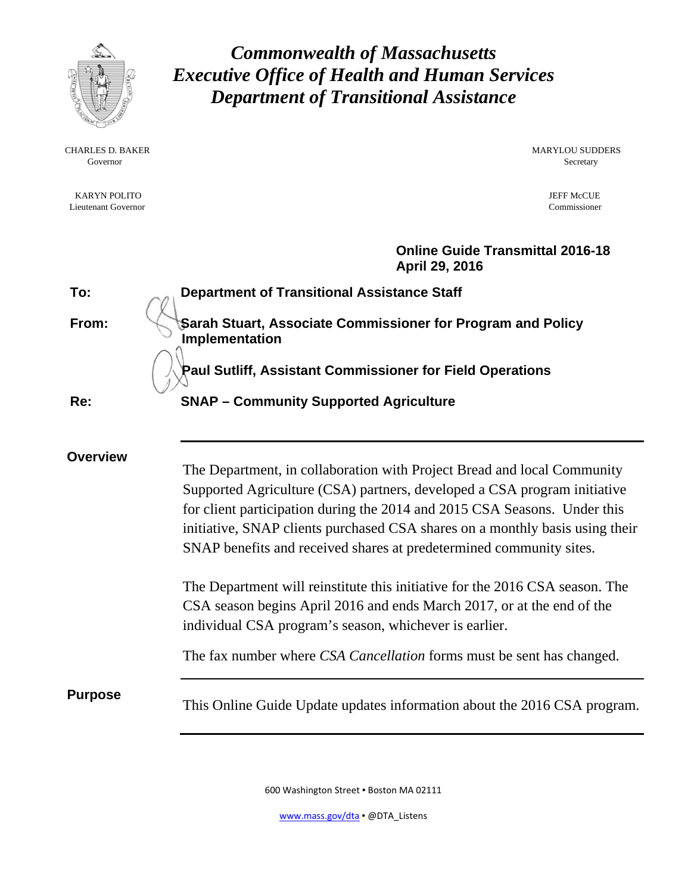

Governor Secretary Secretary Secretary Secretary Secretary Secretary Secretary Secretary Secretary Secretary Secretary Secretary Secretary Secretary Secretary Secretary Secretary Secretary Secretary Secretary Secretary Sec

KARYN POLITO JEFF MCCUE AND THE METHOD OF THE METHOD OF THE METHOD OF THE METHOD OF THE METHOD OF THE METHOD O Lieutenant Governor Commissioner

*Commonwealth of Massachusetts Executive Office of Health and Human Services Department of Transitional Assistance* 

CHARLES D. BAKER MARYLOU SUDDERS

## **Online Guide Transmittal 2016-18 April 29, 2016**

**To: Department of Transitional Assistance Staff From:** Sarah Stuart, Associate Commissioner for Program and Policy **Implementation Paul Sutliff, Assistant Commissioner for Field Operations Re: SNAP – Community Supported Agriculture Overview**  The Department, in collaboration with Project Bread and local Community Supported Agriculture (CSA) partners, developed a CSA program initiative for client participation during the 2014 and 2015 CSA Seasons. Under this initiative, SNAP clients purchased CSA shares on a monthly basis using their SNAP benefits and received shares at predetermined community sites. The Department will reinstitute this initiative for the 2016 CSA season. The CSA season begins April 2016 and ends March 2017, or at the end of the individual CSA program's season, whichever is earlier. The fax number where *CSA Cancellation* forms must be sent has changed. **Purpose**<br>This Online Guide Update updates information about the 2016 CSA program.

600 Washington Street ▪ Boston MA 02111